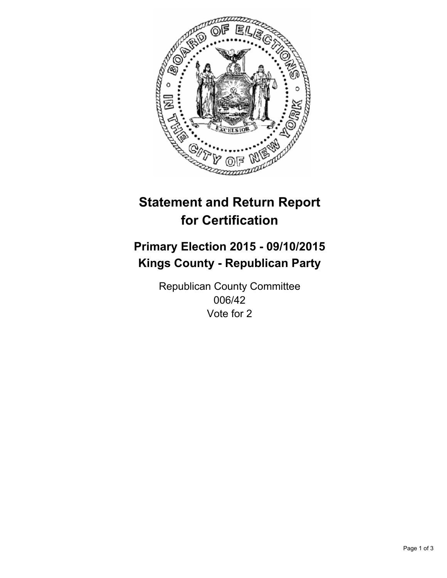

# **Statement and Return Report for Certification**

## **Primary Election 2015 - 09/10/2015 Kings County - Republican Party**

Republican County Committee 006/42 Vote for 2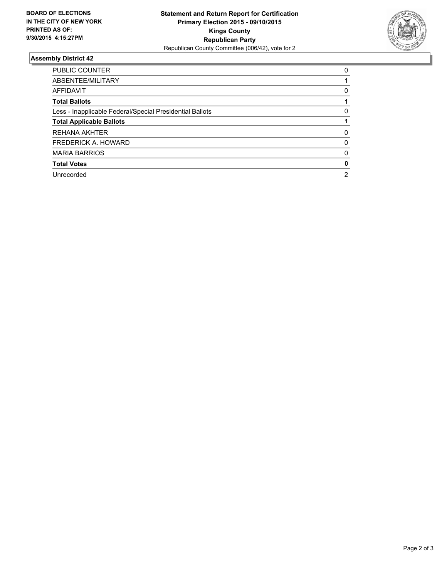

#### **Assembly District 42**

| PUBLIC COUNTER                                           | 0 |
|----------------------------------------------------------|---|
| ABSENTEE/MILITARY                                        |   |
| AFFIDAVIT                                                | 0 |
| <b>Total Ballots</b>                                     |   |
| Less - Inapplicable Federal/Special Presidential Ballots | 0 |
| <b>Total Applicable Ballots</b>                          |   |
| <b>REHANA AKHTER</b>                                     | 0 |
| FREDERICK A. HOWARD                                      | 0 |
| <b>MARIA BARRIOS</b>                                     | 0 |
| <b>Total Votes</b>                                       | 0 |
| Unrecorded                                               | 2 |